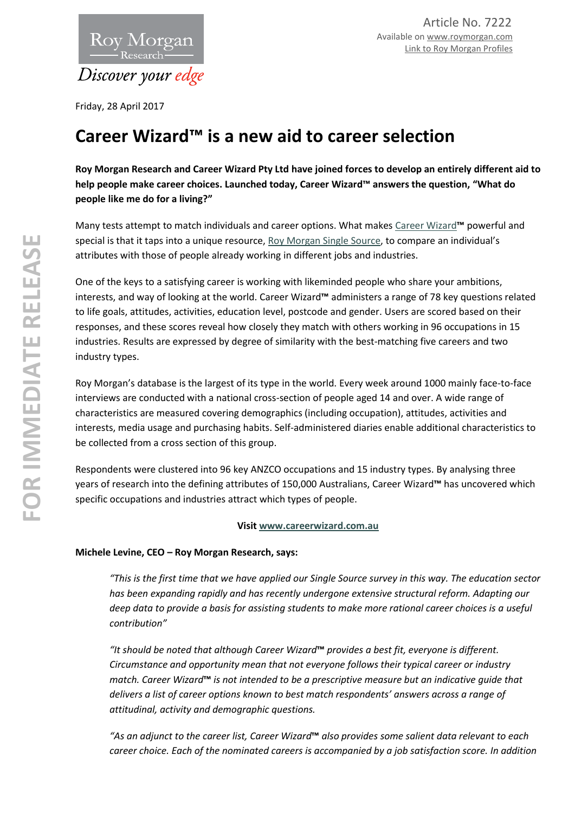

Friday, 28 April 2017

# **Career Wizard™ is a new aid to career selection**

**Roy Morgan Research and Career Wizard Pty Ltd have joined forces to develop an entirely different aid to help people make career choices. Launched today, Career Wizard™ answers the question, "What do people like me do for a living?"**

Many tests attempt to match individuals and career options. What makes [Career Wizard](http://www.careerwizard.com.au/mobile/)**™** powerful and special is that it taps into a unique resource[, Roy Morgan Single Source,](http://roymorgan.com.au/products/single-source) to compare an individual's attributes with those of people already working in different jobs and industries.

One of the keys to a satisfying career is working with likeminded people who share your ambitions, interests, and way of looking at the world. Career Wizard**™** administers a range of 78 key questions related to life goals, attitudes, activities, education level, postcode and gender. Users are scored based on their responses, and these scores reveal how closely they match with others working in 96 occupations in 15 industries. Results are expressed by degree of similarity with the best-matching five careers and two industry types.

Roy Morgan's database is the largest of its type in the world. Every week around 1000 mainly face-to-face interviews are conducted with a national cross-section of people aged 14 and over. A wide range of characteristics are measured covering demographics (including occupation), attitudes, activities and interests, media usage and purchasing habits. Self-administered diaries enable additional characteristics to be collected from a cross section of this group.

Respondents were clustered into 96 key ANZCO occupations and 15 industry types. By analysing three years of research into the defining attributes of 150,000 Australians, Career Wizard**™** has uncovered which specific occupations and industries attract which types of people.

### **Visi[t www.careerwizard.com.au](http://www.careerwizard.com.au/)**

## **Michele Levine, CEO – Roy Morgan Research, says:**

*"This is the first time that we have applied our Single Source survey in this way. The education sector*  has been expanding rapidly and has recently undergone extensive structural reform. Adapting our *deep data to provide a basis for assisting students to make more rational career choices is a useful contribution"* 

*"It should be noted that although Career Wizard***™** *provides a best fit, everyone is different. Circumstance and opportunity mean that not everyone follows their typical career or industry match. Career Wizard***™** *is not intended to be a prescriptive measure but an indicative guide that delivers a list of career options known to best match respondents' answers across a range of attitudinal, activity and demographic questions.* 

*"As an adjunct to the career list, Career Wizard***™** *also provides some salient data relevant to each career choice. Each of the nominated careers is accompanied by a job satisfaction score. In addition*